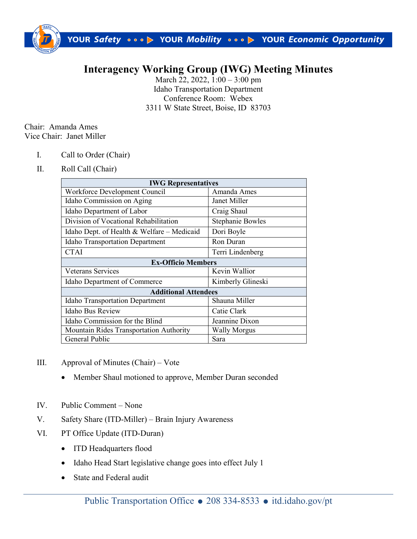

## **Interagency Working Group (IWG) Meeting Minutes**

March 22, 2022,  $1:00 - 3:00$  pm Idaho Transportation Department Conference Room: Webex 3311 W State Street, Boise, ID 83703

Chair: Amanda Ames Vice Chair: Janet Miller

- I. Call to Order (Chair)
- II. Roll Call (Chair)

| <b>IWG Representatives</b>                   |                         |
|----------------------------------------------|-------------------------|
| Workforce Development Council                | Amanda Ames             |
| Idaho Commission on Aging                    | Janet Miller            |
| Idaho Department of Labor                    | Craig Shaul             |
| Division of Vocational Rehabilitation        | <b>Stephanie Bowles</b> |
| Idaho Dept. of Health $&$ Welfare – Medicaid | Dori Boyle              |
| <b>Idaho Transportation Department</b>       | Ron Duran               |
| <b>CTAI</b>                                  | Terri Lindenberg        |
| <b>Ex-Officio Members</b>                    |                         |
| Veterans Services                            | Kevin Wallior           |
| Idaho Department of Commerce                 | Kimberly Glineski       |
| <b>Additional Attendees</b>                  |                         |
| <b>Idaho Transportation Department</b>       | Shauna Miller           |
| <b>Idaho Bus Review</b>                      | Catie Clark             |
| Idaho Commission for the Blind               | Jeannine Dixon          |
| Mountain Rides Transportation Authority      | Wally Morgus            |
| General Public                               | Sara                    |

- III. Approval of Minutes (Chair) Vote
	- Member Shaul motioned to approve, Member Duran seconded
- IV. Public Comment None
- V. Safety Share (ITD-Miller) Brain Injury Awareness
- VI. PT Office Update (ITD-Duran)
	- ITD Headquarters flood
	- Idaho Head Start legislative change goes into effect July 1
	- State and Federal audit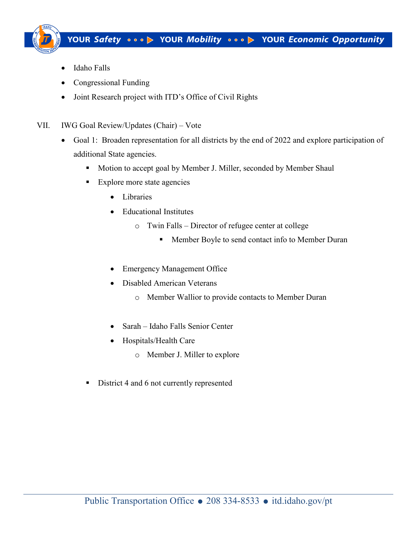

- Idaho Falls
- Congressional Funding
- Joint Research project with ITD's Office of Civil Rights
- VII. IWG Goal Review/Updates (Chair) Vote
	- Goal 1: Broaden representation for all districts by the end of 2022 and explore participation of additional State agencies.
		- **Motion to accept goal by Member J. Miller, seconded by Member Shaul**
		- **Explore more state agencies** 
			- Libraries
			- Educational Institutes
				- o Twin Falls Director of refugee center at college
					- **Member Boyle to send contact info to Member Duran**
			- Emergency Management Office
			- Disabled American Veterans
				- o Member Wallior to provide contacts to Member Duran
			- Sarah Idaho Falls Senior Center
			- Hospitals/Health Care
				- o Member J. Miller to explore
		- District 4 and 6 not currently represented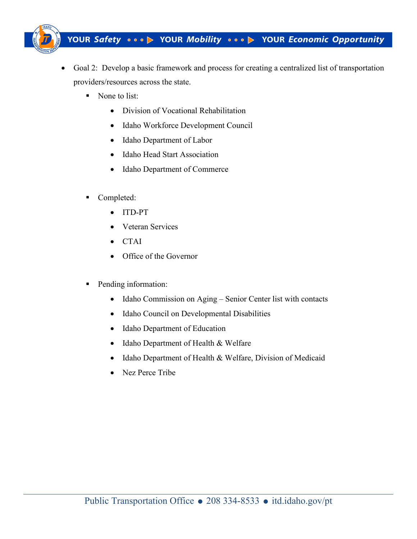

- Goal 2: Develop a basic framework and process for creating a centralized list of transportation providers/resources across the state.
	- None to list:
		- Division of Vocational Rehabilitation
		- Idaho Workforce Development Council
		- Idaho Department of Labor
		- Idaho Head Start Association
		- Idaho Department of Commerce
	- Completed:
		- ITD-PT
		- Veteran Services
		- CTAI
		- Office of the Governor
	- Pending information:
		- Idaho Commission on Aging Senior Center list with contacts
		- Idaho Council on Developmental Disabilities
		- Idaho Department of Education
		- Idaho Department of Health & Welfare
		- Idaho Department of Health & Welfare, Division of Medicaid
		- Nez Perce Tribe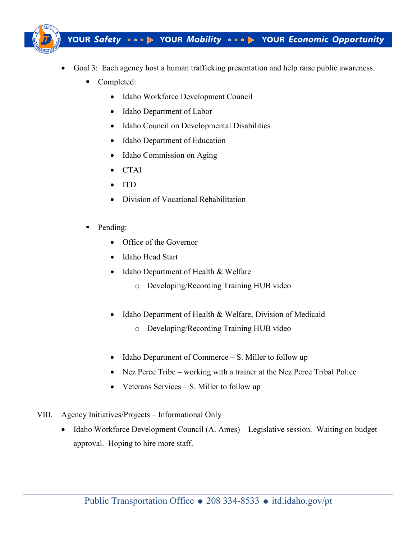

- Goal 3: Each agency host a human trafficking presentation and help raise public awareness.
	- Completed:
		- Idaho Workforce Development Council
		- Idaho Department of Labor
		- Idaho Council on Developmental Disabilities
		- Idaho Department of Education
		- Idaho Commission on Aging
		- CTAI
		- ITD
		- Division of Vocational Rehabilitation
	- Pending:
		- Office of the Governor
		- Idaho Head Start
		- Idaho Department of Health & Welfare
			- o Developing/Recording Training HUB video
		- Idaho Department of Health & Welfare, Division of Medicaid
			- o Developing/Recording Training HUB video
		- Idaho Department of Commerce S. Miller to follow up
		- Nez Perce Tribe working with a trainer at the Nez Perce Tribal Police
		- Veterans Services S. Miller to follow up
- VIII. Agency Initiatives/Projects Informational Only
	- Idaho Workforce Development Council (A. Ames) Legislative session. Waiting on budget approval. Hoping to hire more staff.